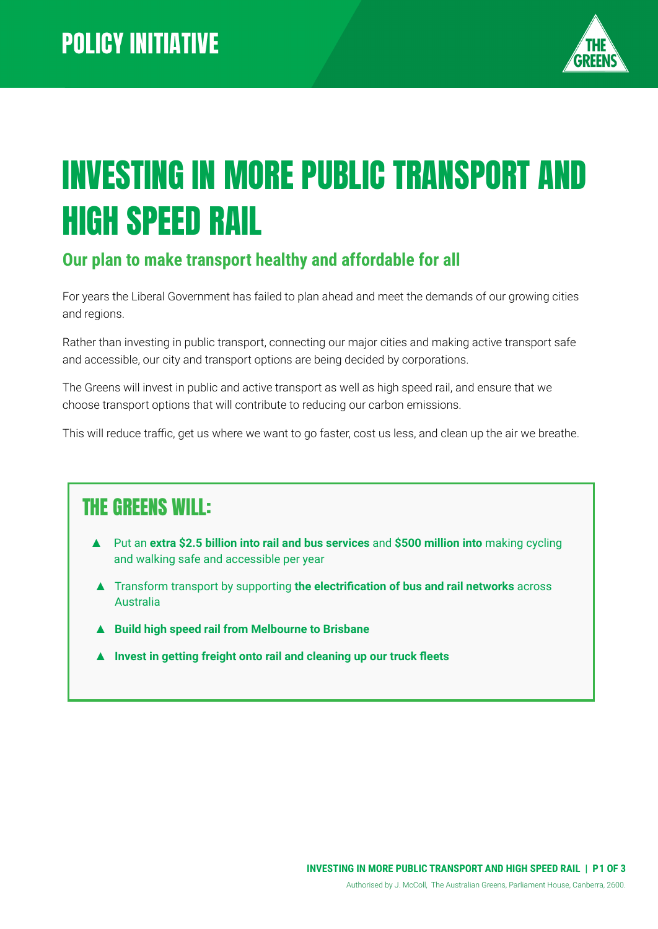

# INVESTING IN MORE PUBLIC TRANSPORT AND HIGH SPEED RAIL

#### **Our plan to make transport healthy and affordable for all**

For years the Liberal Government has failed to plan ahead and meet the demands of our growing cities and regions.

Rather than investing in public transport, connecting our major cities and making active transport safe and accessible, our city and transport options are being decided by corporations.

The Greens will invest in public and active transport as well as high speed rail, and ensure that we choose transport options that will contribute to reducing our carbon emissions.

This will reduce traffic, get us where we want to go faster, cost us less, and clean up the air we breathe.

# THE GREENS WILL:

- ▲ Put an **extra \$2.5 billion into rail and bus services** and **\$500 million into** making cycling and walking safe and accessible per year
- ▲ Transform transport by supporting **the electrification of bus and rail networks** across Australia
- ▲ **Build high speed rail from Melbourne to Brisbane**
- **▲ Invest in getting freight onto rail and cleaning up our truck fleets**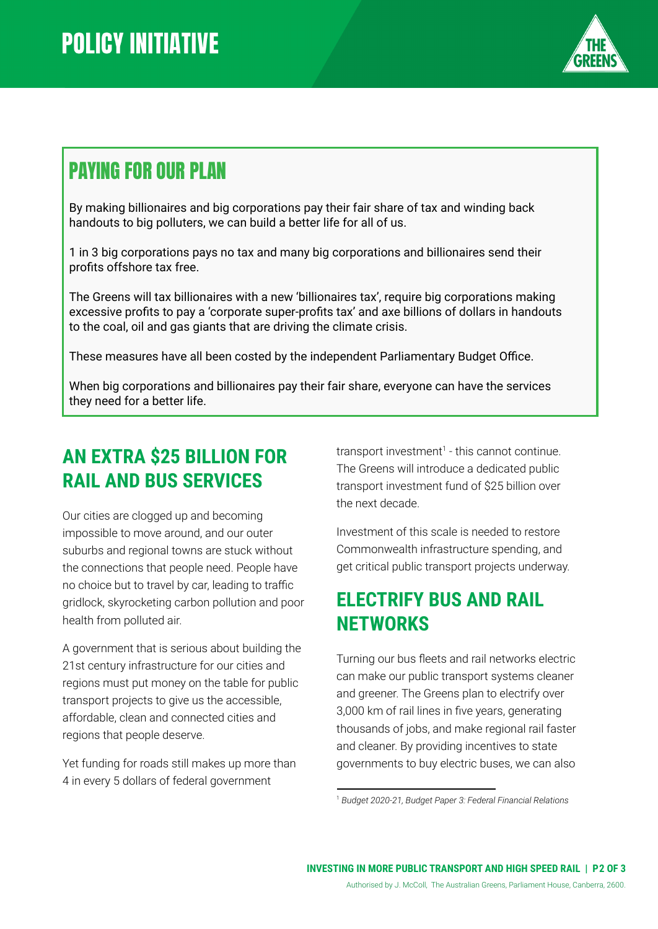

# PAYING FOR OUR PLAN

By making billionaires and big corporations pay their fair share of tax and winding back handouts to big polluters, we can build a better life for all of us.

1 in 3 big corporations pays no tax and many big corporations and billionaires send their profits offshore tax free.

The Greens will tax billionaires with a new 'billionaires tax', require big corporations making excessive profits to pay a 'corporate super-profits tax' and axe billions of dollars in handouts to the coal, oil and gas giants that are driving the climate crisis.

These measures have all been costed by the independent Parliamentary Budget Office.

When big corporations and billionaires pay their fair share, everyone can have the services they need for a better life.

# **AN EXTRA \$25 BILLION FOR RAIL AND BUS SERVICES**

Our cities are clogged up and becoming impossible to move around, and our outer suburbs and regional towns are stuck without the connections that people need. People have no choice but to travel by car, leading to traffic gridlock, skyrocketing carbon pollution and poor health from polluted air.

A government that is serious about building the 21st century infrastructure for our cities and regions must put money on the table for public transport projects to give us the accessible, affordable, clean and connected cities and regions that people deserve.

Yet funding for roads still makes up more than 4 in every 5 dollars of federal government

transport investment<sup> $1$ </sup> - this cannot continue. The Greens will introduce a dedicated public transport investment fund of \$25 billion over the next decade.

Investment of this scale is needed to restore Commonwealth infrastructure spending, and get critical public transport projects underway.

### **ELECTRIFY BUS AND RAIL NETWORKS**

Turning our bus fleets and rail networks electric can make our public transport systems cleaner and greener. The Greens plan to electrify over 3,000 km of rail lines in five years, generating thousands of jobs, and make regional rail faster and cleaner. By providing incentives to state governments to buy electric buses, we can also

<sup>1</sup> *Budget 2020-21, Budget Paper 3: Federal Financial Relations*